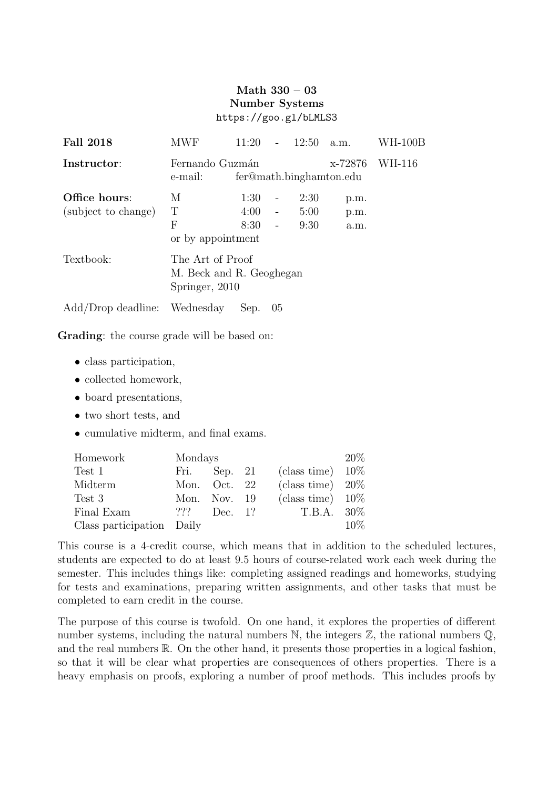## Math 330 – 03 Number Systems https://goo.gl/bLMLS3

| <b>Fall 2018</b>                     | MWF                                                                        | 11:20                | $\overline{\phantom{0}}$                                  | 12:50                | a.m.                 | WH-100B |  |  |
|--------------------------------------|----------------------------------------------------------------------------|----------------------|-----------------------------------------------------------|----------------------|----------------------|---------|--|--|
| Instructor:                          | Fernando Guzmán<br>WH-116<br>x-72876<br>fer@math.binghamton.edu<br>e-mail: |                      |                                                           |                      |                      |         |  |  |
| Office hours:<br>(subject to change) | М<br>Т<br>F<br>or by appointment                                           | 1:30<br>4:00<br>8:30 | $\qquad \qquad -$<br>$\overline{\phantom{a}}$<br>$\equiv$ | 2:30<br>5:00<br>9:30 | p.m.<br>p.m.<br>a.m. |         |  |  |
| Textbook:                            | The Art of Proof<br>M. Beck and R. Geoghegan<br>Springer, 2010             |                      |                                                           |                      |                      |         |  |  |
| Add/Drop deadline: Wednesday         |                                                                            | Sep.                 | 0 <sub>5</sub>                                            |                      |                      |         |  |  |

Grading: the course grade will be based on:

- class participation,
- collected homework,
- board presentations,
- two short tests, and
- cumulative midterm, and final exams.

| Homework                  | Mondays |                |  |                     |        |  |
|---------------------------|---------|----------------|--|---------------------|--------|--|
| Test 1                    | Fri.    | Sep. 21        |  | (class time) $10\%$ |        |  |
| Midterm                   |         | Mon. Oct. 22   |  | (class time) $20\%$ |        |  |
| Test 3                    |         | Mon. Nov. $19$ |  | (class time) $10\%$ |        |  |
| Final Exam                | ???     | Dec. 1?        |  | $T.B.A. 30\%$       |        |  |
| Class participation Daily |         |                |  |                     | $10\%$ |  |

This course is a 4-credit course, which means that in addition to the scheduled lectures, students are expected to do at least 9.5 hours of course-related work each week during the semester. This includes things like: completing assigned readings and homeworks, studying for tests and examinations, preparing written assignments, and other tasks that must be completed to earn credit in the course.

The purpose of this course is twofold. On one hand, it explores the properties of different number systems, including the natural numbers  $\mathbb{N}$ , the integers  $\mathbb{Z}$ , the rational numbers  $\mathbb{Q}$ , and the real numbers  $\mathbb R$ . On the other hand, it presents those properties in a logical fashion, so that it will be clear what properties are consequences of others properties. There is a heavy emphasis on proofs, exploring a number of proof methods. This includes proofs by